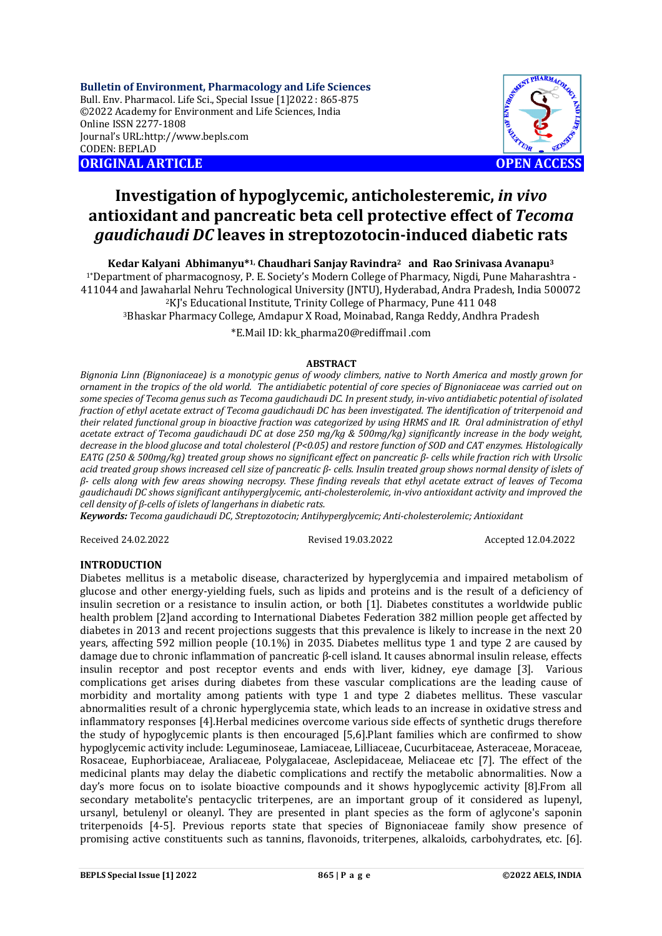**Bulletin of Environment, Pharmacology and Life Sciences** Bull. Env. Pharmacol. Life Sci., Special Issue [1]2022 : 865-875 ©2022 Academy for Environment and Life Sciences, India Online ISSN 2277-1808 Journal's URL:<http://www.bepls.com> CODEN: BEPLAD **ORIGINAL ARTICLE OPEN ACCESS** 



# **Investigation of hypoglycemic, anticholesteremic,** *in vivo* **antioxidant and pancreatic beta cell protective effect of** *Tecoma gaudichaudi DC* **leaves in streptozotocin-induced diabetic rats**

**Kedar Kalyani Abhimanyu\*1, Chaudhari Sanjay Ravindra2 and Rao Srinivasa Avanapu<sup>3</sup>**

1\*Department of pharmacognosy, P. E. Society's Modern College of Pharmacy, Nigdi, Pune Maharashtra - 411044 and Jawaharlal Nehru Technological University (JNTU), Hyderabad, Andra Pradesh, India 500072 <sup>2</sup>KJ's Educational Institute, Trinity College of Pharmacy, Pune 411 048 <sup>3</sup>Bhaskar Pharmacy College, Amdapur X Road, Moinabad, Ranga Reddy, Andhra Pradesh

\*E.Mail ID: kk\_pharma20@rediffmail .com

### **ABSTRACT**

*Bignonia Linn (Bignoniaceae) is a monotypic genus of woody climbers, native to North America and mostly grown for ornament in the tropics of the old world. The antidiabetic potential of core species of Bignoniaceae was carried out on some species of Tecoma genus such as Tecoma gaudichaudi DC. In present study, in-vivo antidiabetic potential of isolated fraction of ethyl acetate extract of Tecoma gaudichaudi DC has been investigated. The identification of triterpenoid and their related functional group in bioactive fraction was categorized by using HRMS and IR. Oral administration of ethyl acetate extract of Tecoma gaudichaudi DC at dose 250 mg/kg & 500mg/kg) significantly increase in the body weight, decrease in the blood glucose and total cholesterol (P<0.05) and restore function of SOD and CAT enzymes. Histologically EATG (250 & 500mg/kg) treated group shows no significant effect on pancreatic β- cells while fraction rich with Ursolic acid treated group shows increased cell size of pancreatic β- cells. Insulin treated group shows normal density of islets of β- cells along with few areas showing necropsy. These finding reveals that ethyl acetate extract of leaves of Tecoma gaudichaudi DC shows significant antihyperglycemic, anti-cholesterolemic, in-vivo antioxidant activity and improved the cell density of β-cells of islets of langerhans in diabetic rats.*

*Keywords: Tecoma gaudichaudi DC, Streptozotocin; Antihyperglycemic; Anti-cholesterolemic; Antioxidant*

Received 24.02.2022 Revised 19.03.2022 Accepted 12.04.2022

### **INTRODUCTION**

Diabetes mellitus is a metabolic disease, characterized by hyperglycemia and impaired metabolism of glucose and other energy-yielding fuels, such as lipids and proteins and is the result of a deficiency of insulin secretion or a resistance to insulin action, or both [1]. Diabetes constitutes a worldwide public health problem [2]and according to International Diabetes Federation 382 million people get affected by diabetes in 2013 and recent projections suggests that this prevalence is likely to increase in the next 20 years, affecting 592 million people (10.1%) in 2035. Diabetes mellitus type 1 and type 2 are caused by damage due to chronic inflammation of pancreatic β-cell island. It causes abnormal insulin release, effects insulin receptor and post receptor events and ends with liver, kidney, eye damage [3]. Various complications get arises during diabetes from these vascular complications are the leading cause of morbidity and mortality among patients with type 1 and type 2 diabetes mellitus. These vascular abnormalities result of a chronic hyperglycemia state, which leads to an increase in oxidative stress and inflammatory responses [4].Herbal medicines overcome various side effects of synthetic drugs therefore the study of hypoglycemic plants is then encouraged [5,6].Plant families which are confirmed to show hypoglycemic activity include: Leguminoseae, Lamiaceae, Lilliaceae, Cucurbitaceae, Asteraceae, Moraceae, Rosaceae, Euphorbiaceae, Araliaceae, Polygalaceae, Asclepidaceae, Meliaceae etc [7]. The effect of the medicinal plants may delay the diabetic complications and rectify the metabolic abnormalities. Now a day's more focus on to isolate bioactive compounds and it shows hypoglycemic activity [8].From all secondary metabolite's pentacyclic triterpenes, are an important group of it considered as lupenyl, ursanyl, betulenyl or oleanyl. They are presented in plant species as the form of aglycone's saponin triterpenoids [4-5]. Previous reports state that species of Bignoniaceae family show presence of promising active constituents such as tannins, flavonoids, triterpenes, alkaloids, carbohydrates, etc. [6].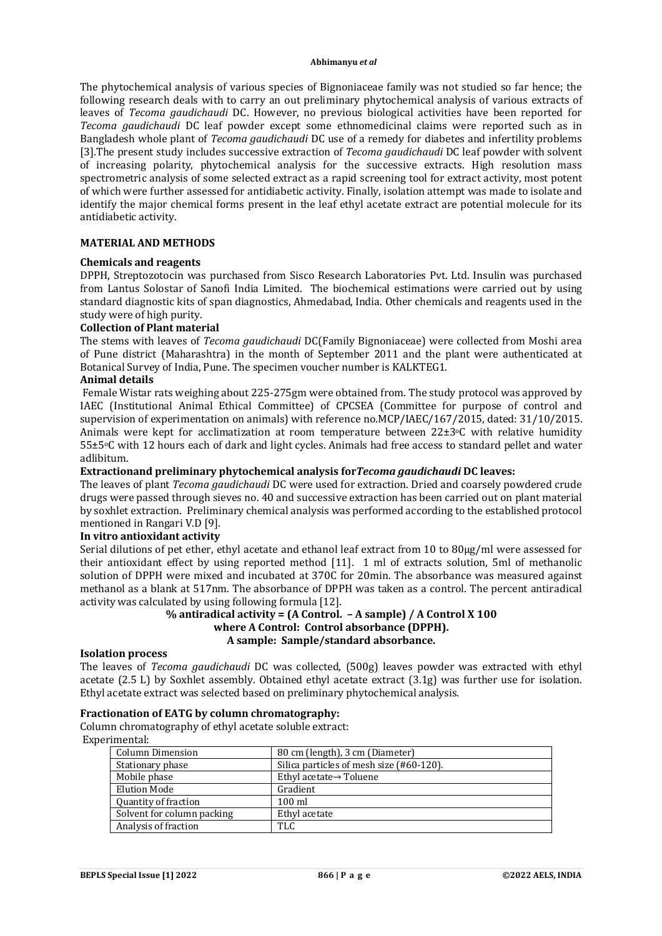The phytochemical analysis of various species of Bignoniaceae family was not studied so far hence; the following research deals with to carry an out preliminary phytochemical analysis of various extracts of leaves of *Tecoma gaudichaudi* DC. However, no previous biological activities have been reported for *Tecoma gaudichaudi* DC leaf powder except some ethnomedicinal claims were reported such as in Bangladesh whole plant of *Tecoma gaudichaudi* DC use of a remedy for diabetes and infertility problems [3].The present study includes successive extraction of *Tecoma gaudichaudi* DC leaf powder with solvent of increasing polarity, phytochemical analysis for the successive extracts. High resolution mass spectrometric analysis of some selected extract as a rapid screening tool for extract activity, most potent of which were further assessed for antidiabetic activity. Finally, isolation attempt was made to isolate and identify the major chemical forms present in the leaf ethyl acetate extract are potential molecule for its antidiabetic activity.

### **MATERIAL AND METHODS**

### **Chemicals and reagents**

DPPH, Streptozotocin was purchased from Sisco Research Laboratories Pvt. Ltd. Insulin was purchased from Lantus Solostar of Sanofi India Limited. The biochemical estimations were carried out by using standard diagnostic kits of span diagnostics, Ahmedabad, India. Other chemicals and reagents used in the study were of high purity.

### **Collection of Plant material**

The stems with leaves of *Tecoma gaudichaudi* DC(Family Bignoniaceae) were collected from Moshi area of Pune district (Maharashtra) in the month of September 2011 and the plant were authenticated at Botanical Survey of India, Pune. The specimen voucher number is KALKTEG1.

## **Animal details**

Female Wistar rats weighing about 225-275gm were obtained from. The study protocol was approved by IAEC (Institutional Animal Ethical Committee) of CPCSEA (Committee for purpose of control and supervision of experimentation on animals) with reference no.MCP/IAEC/167/2015, dated: 31/10/2015. Animals were kept for acclimatization at room temperature between  $22\pm3$ °C with relative humidity 55±5oC with 12 hours each of dark and light cycles. Animals had free access to standard pellet and water adlibitum.

### **Extractionand preliminary phytochemical analysis for***Tecoma gaudichaudi* **DC leaves:**

The leaves of plant *Tecoma gaudichaudi* DC were used for extraction. Dried and coarsely powdered crude drugs were passed through sieves no. 40 and successive extraction has been carried out on plant material by soxhlet extraction. Preliminary chemical analysis was performed according to the established protocol mentioned in Rangari V.D [9].

### **In vitro antioxidant activity**

Serial dilutions of pet ether, ethyl acetate and ethanol leaf extract from 10 to 80µg/ml were assessed for their antioxidant effect by using reported method [11]. 1 ml of extracts solution, 5ml of methanolic solution of DPPH were mixed and incubated at 370C for 20min. The absorbance was measured against methanol as a blank at 517nm. The absorbance of DPPH was taken as a control. The percent antiradical activity was calculated by using following formula [12].

### **% antiradical activity = (A Control. – A sample) / A Control X 100 where A Control: Control absorbance (DPPH). A sample: Sample/standard absorbance.**

### **Isolation process**

The leaves of *Tecoma gaudichaudi* DC was collected, (500g) leaves powder was extracted with ethyl acetate (2.5 L) by Soxhlet assembly. Obtained ethyl acetate extract (3.1g) was further use for isolation. Ethyl acetate extract was selected based on preliminary phytochemical analysis.

### **Fractionation of EATG by column chromatography:**

Column chromatography of ethyl acetate soluble extract: Experimental:

| Column Dimension           | 80 cm (length), 3 cm (Diameter)          |
|----------------------------|------------------------------------------|
| Stationary phase           | Silica particles of mesh size (#60-120). |
| Mobile phase               | Ethyl acetate $\rightarrow$ Toluene      |
| <b>Elution Mode</b>        | Gradient                                 |
| Quantity of fraction       | $100 \text{ ml}$                         |
| Solvent for column packing | Ethyl acetate                            |
| Analysis of fraction       | <b>TLC</b>                               |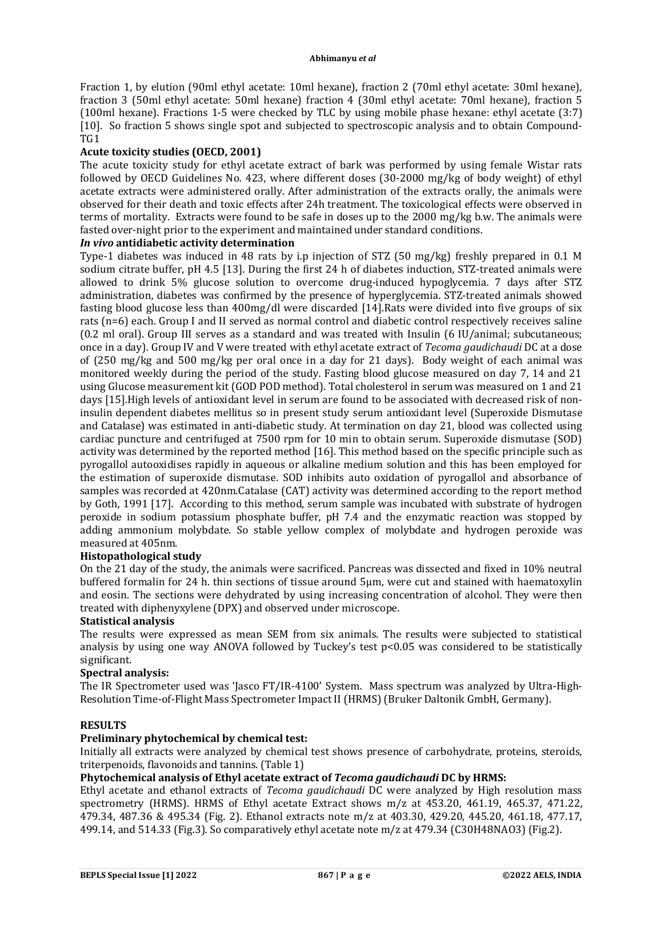Fraction 1, by elution (90ml ethyl acetate: 10ml hexane), fraction 2 (70ml ethyl acetate: 30ml hexane), fraction 3 (50ml ethyl acetate: 50ml hexane) fraction 4 (30ml ethyl acetate: 70ml hexane), fraction 5 (100ml hexane). Fractions 1-5 were checked by TLC by using mobile phase hexane: ethyl acetate (3:7) [10]. So fraction 5 shows single spot and subjected to spectroscopic analysis and to obtain Compound-TG1

### **Acute toxicity studies (OECD, 2001)**

The acute toxicity study for ethyl acetate extract of bark was performed by using female Wistar rats followed by OECD Guidelines No. 423, where different doses (30-2000 mg/kg of body weight) of ethyl acetate extracts were administered orally. After administration of the extracts orally, the animals were observed for their death and toxic effects after 24h treatment. The toxicological effects were observed in terms of mortality. Extracts were found to be safe in doses up to the 2000 mg/kg b.w. The animals were fasted over-night prior to the experiment and maintained under standard conditions.

### *In vivo* **antidiabetic activity determination**

Type-1 diabetes was induced in 48 rats by i.p injection of STZ (50 mg/kg) freshly prepared in 0.1 M sodium citrate buffer, pH 4.5 [13]. During the first 24 h of diabetes induction, STZ-treated animals were allowed to drink 5% glucose solution to overcome drug-induced hypoglycemia. 7 days after STZ administration, diabetes was confirmed by the presence of hyperglycemia. STZ-treated animals showed fasting blood glucose less than 400mg/dl were discarded [14].Rats were divided into five groups of six rats (n=6) each. Group I and II served as normal control and diabetic control respectively receives saline (0.2 ml oral). Group III serves as a standard and was treated with Insulin (6 IU/animal; subcutaneous; once in a day). Group IV and V were treated with ethyl acetate extract of *Tecoma gaudichaudi* DC at a dose of (250 mg/kg and 500 mg/kg per oral once in a day for 21 days). Body weight of each animal was monitored weekly during the period of the study. Fasting blood glucose measured on day 7, 14 and 21 using Glucose measurement kit (GOD POD method). Total cholesterol in serum was measured on 1 and 21 days [15].High levels of antioxidant level in serum are found to be associated with decreased risk of noninsulin dependent diabetes mellitus so in present study serum antioxidant level (Superoxide Dismutase and Catalase) was estimated in anti-diabetic study. At termination on day 21, blood was collected using cardiac puncture and centrifuged at 7500 rpm for 10 min to obtain serum. Superoxide dismutase (SOD) activity was determined by the reported method [16]. This method based on the specific principle such as pyrogallol autooxidises rapidly in aqueous or alkaline medium solution and this has been employed for the estimation of superoxide dismutase. SOD inhibits auto oxidation of pyrogallol and absorbance of samples was recorded at 420nm.Catalase (CAT) activity was determined according to the report method by Goth, 1991 [17]. According to this method, serum sample was incubated with substrate of hydrogen peroxide in sodium potassium phosphate buffer, pH 7.4 and the enzymatic reaction was stopped by adding ammonium molybdate. So stable yellow complex of molybdate and hydrogen peroxide was measured at 405nm.

### **Histopathological study**

On the 21 day of the study, the animals were sacrificed. Pancreas was dissected and fixed in 10% neutral buffered formalin for 24 h. thin sections of tissue around 5µm, were cut and stained with haematoxylin and eosin. The sections were dehydrated by using increasing concentration of alcohol. They were then treated with diphenyxylene (DPX) and observed under microscope.

### **Statistical analysis**

The results were expressed as mean SEM from six animals. The results were subjected to statistical analysis by using one way ANOVA followed by Tuckey's test p<0.05 was considered to be statistically significant.

### **Spectral analysis:**

The IR Spectrometer used was 'Jasco FT/IR-4100' System. Mass spectrum was analyzed by Ultra-High-Resolution Time-of-Flight Mass Spectrometer Impact II (HRMS) (Bruker Daltonik GmbH, Germany).

### **RESULTS**

### **Preliminary phytochemical by chemical test:**

Initially all extracts were analyzed by chemical test shows presence of carbohydrate, proteins, steroids, triterpenoids, flavonoids and tannins. (Table 1)

### **Phytochemical analysis of Ethyl acetate extract of** *Tecoma gaudichaudi* **DC by HRMS:**

Ethyl acetate and ethanol extracts of *Tecoma gaudichaudi* DC were analyzed by High resolution mass spectrometry (HRMS). HRMS of Ethyl acetate Extract shows m/z at 453.20, 461.19, 465.37, 471.22, 479.34, 487.36 & 495.34 (Fig. 2). Ethanol extracts note m/z at 403.30, 429.20, 445.20, 461.18, 477.17, 499.14, and 514.33 (Fig.3). So comparatively ethyl acetate note m/z at 479.34 (C30H48NAO3) (Fig.2).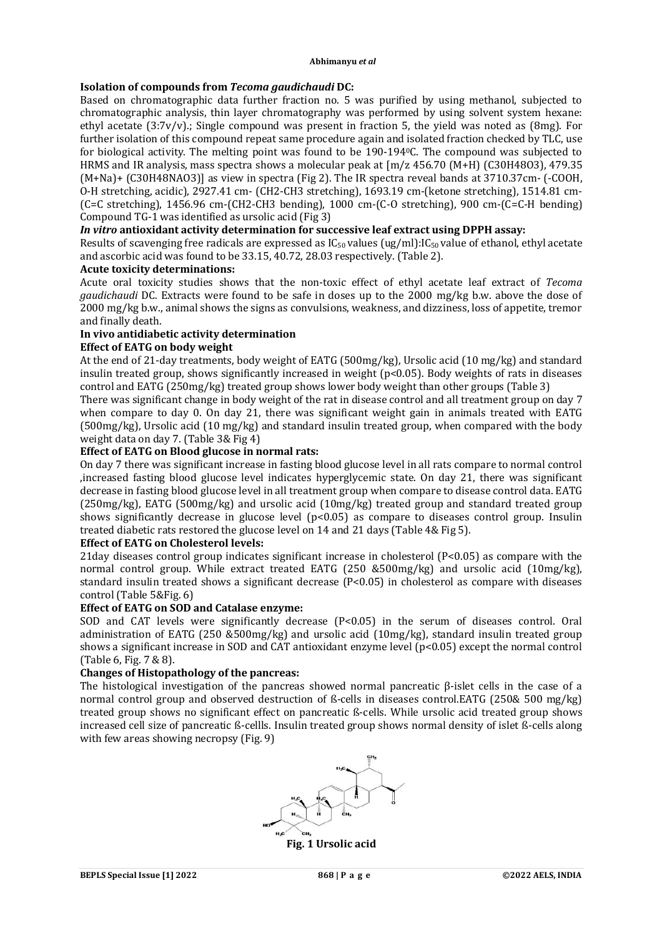### **Isolation of compounds from** *Tecoma gaudichaudi* **DC:**

Based on chromatographic data further fraction no. 5 was purified by using methanol, subjected to chromatographic analysis, thin layer chromatography was performed by using solvent system hexane: ethyl acetate (3:7v/v).; Single compound was present in fraction 5, the yield was noted as (8mg). For further isolation of this compound repeat same procedure again and isolated fraction checked by TLC, use for biological activity. The melting point was found to be 190-1940C. The compound was subjected to HRMS and IR analysis, mass spectra shows a molecular peak at [m/z 456.70 (M+H) (C30H48O3), 479.35 (M+Na)+ (C30H48NAO3)] as view in spectra (Fig 2). The IR spectra reveal bands at 3710.37cm- (-COOH, O-H stretching, acidic), 2927.41 cm- (CH2-CH3 stretching), 1693.19 cm-(ketone stretching), 1514.81 cm- (C=C stretching), 1456.96 cm-(CH2-CH3 bending), 1000 cm-(C-O stretching), 900 cm-(C=C-H bending) Compound TG-1 was identified as ursolic acid (Fig 3)

# *In vitro* **antioxidant activity determination for successive leaf extract using DPPH assay:**

Results of scavenging free radicals are expressed as  $IC_{50}$  values (ug/ml): $IC_{50}$  value of ethanol, ethyl acetate and ascorbic acid was found to be 33.15, 40.72, 28.03 respectively. (Table 2).

### **Acute toxicity determinations:**

Acute oral toxicity studies shows that the non-toxic effect of ethyl acetate leaf extract of *Tecoma gaudichaudi* DC. Extracts were found to be safe in doses up to the 2000 mg/kg b.w. above the dose of 2000 mg/kg b.w., animal shows the signs as convulsions, weakness, and dizziness, loss of appetite, tremor and finally death.

# **In vivo antidiabetic activity determination**

### **Effect of EATG on body weight**

At the end of 21-day treatments, body weight of EATG (500mg/kg), Ursolic acid (10 mg/kg) and standard insulin treated group, shows significantly increased in weight (p<0.05). Body weights of rats in diseases control and EATG (250mg/kg) treated group shows lower body weight than other groups (Table 3)

There was significant change in body weight of the rat in disease control and all treatment group on day 7 when compare to day 0. On day 21, there was significant weight gain in animals treated with EATG (500mg/kg), Ursolic acid (10 mg/kg) and standard insulin treated group, when compared with the body weight data on day 7. (Table 3& Fig 4)

### **Effect of EATG on Blood glucose in normal rats:**

On day 7 there was significant increase in fasting blood glucose level in all rats compare to normal control ,increased fasting blood glucose level indicates hyperglycemic state. On day 21, there was significant decrease in fasting blood glucose level in all treatment group when compare to disease control data. EATG (250mg/kg), EATG (500mg/kg) and ursolic acid (10mg/kg) treated group and standard treated group shows significantly decrease in glucose level  $(p<0.05)$  as compare to diseases control group. Insulin treated diabetic rats restored the glucose level on 14 and 21 days (Table 4& Fig 5).

### **Effect of EATG on Cholesterol levels:**

21day diseases control group indicates significant increase in cholesterol (P<0.05) as compare with the normal control group. While extract treated EATG (250 &500mg/kg) and ursolic acid (10mg/kg), standard insulin treated shows a significant decrease (P<0.05) in cholesterol as compare with diseases control (Table 5&Fig. 6)

### **Effect of EATG on SOD and Catalase enzyme:**

SOD and CAT levels were significantly decrease (P<0.05) in the serum of diseases control. Oral administration of EATG (250 &500mg/kg) and ursolic acid (10mg/kg), standard insulin treated group shows a significant increase in SOD and CAT antioxidant enzyme level (p<0.05) except the normal control (Table 6, Fig. 7 & 8).

### **Changes of Histopathology of the pancreas:**

The histological investigation of the pancreas showed normal pancreatic β-islet cells in the case of a normal control group and observed destruction of ß-cells in diseases control.EATG (250& 500 mg/kg) treated group shows no significant effect on pancreatic ß-cells. While ursolic acid treated group shows increased cell size of pancreatic ß-cellls. Insulin treated group shows normal density of islet ß-cells along with few areas showing necropsy (Fig. 9)



**Fig. 1 Ursolic acid**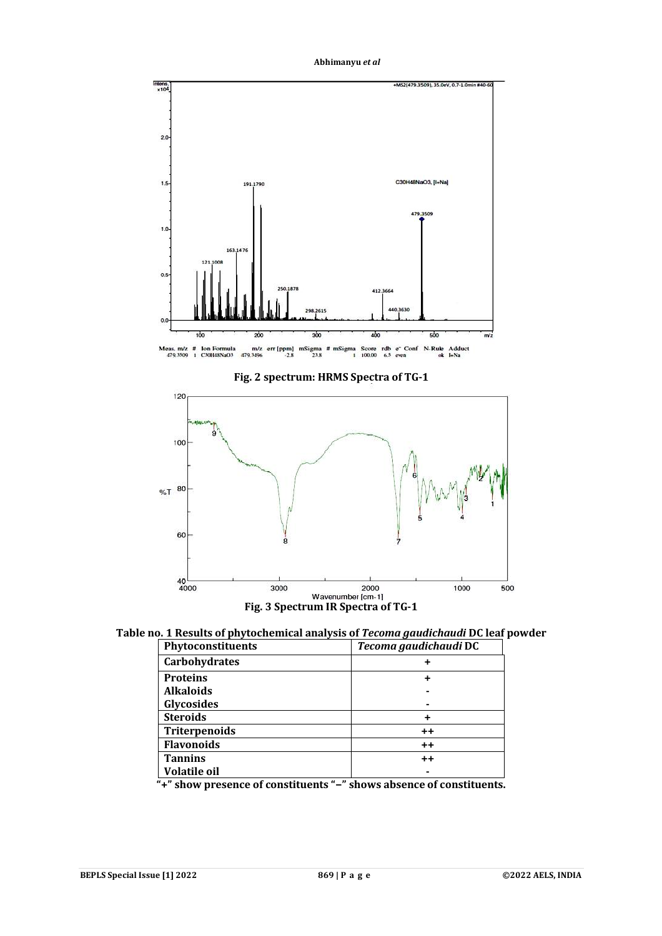**Abhimanyu** *et al*



**Fig. 2 spectrum: HRMS Spectra of TG-1**



**Table no. 1 Results of phytochemical analysis of** *Tecoma gaudichaudi* **DC leaf powder**

| Phytoconstituents    | Tecoma gaudichaudi DC |
|----------------------|-----------------------|
| <b>Carbohydrates</b> |                       |
| <b>Proteins</b>      |                       |
| <b>Alkaloids</b>     |                       |
| <b>Glycosides</b>    |                       |
| <b>Steroids</b>      |                       |
| Triterpenoids        | $++$                  |
| <b>Flavonoids</b>    | $++$                  |
| <b>Tannins</b>       | $++$                  |
| Volatile oil         |                       |

**"+" show presence of constituents "−" shows absence of constituents.**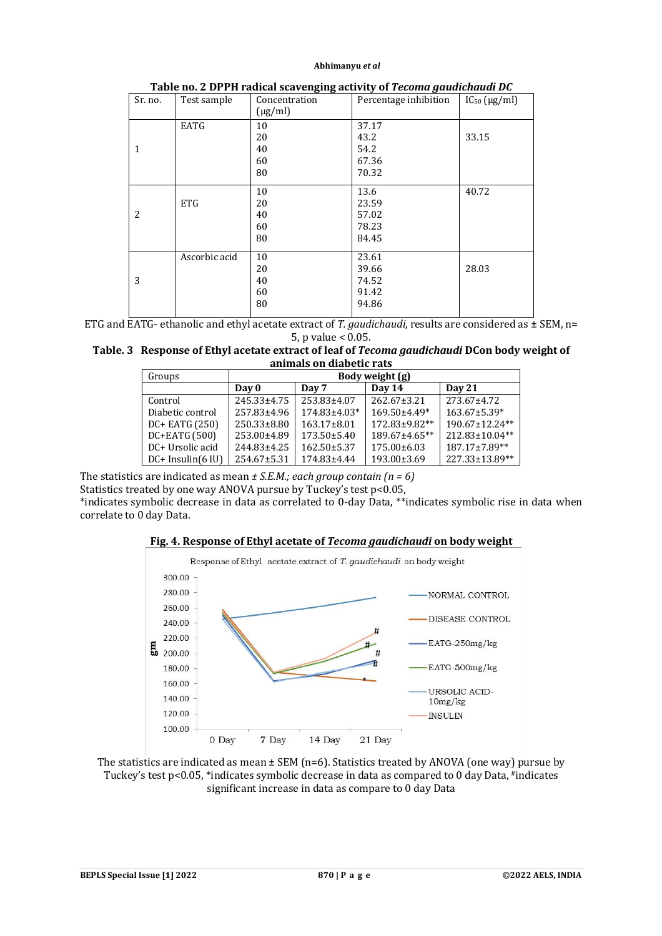| Sr. no.      | Test sample   | Concentration | Percentage inhibition | $IC_{50}$ ( $\mu$ g/ml) |
|--------------|---------------|---------------|-----------------------|-------------------------|
|              |               | $(\mu g/ml)$  |                       |                         |
|              | EATG          | 10            | 37.17                 |                         |
|              |               | 20            | 43.2                  | 33.15                   |
| $\mathbf{1}$ |               | 40            | 54.2                  |                         |
|              |               | 60            | 67.36                 |                         |
|              |               | 80            | 70.32                 |                         |
|              |               | 10            | 13.6                  | 40.72                   |
|              | <b>ETG</b>    | 20            | 23.59                 |                         |
| 2            |               | 40            | 57.02                 |                         |
|              |               | 60            | 78.23                 |                         |
|              |               | 80            | 84.45                 |                         |
|              | Ascorbic acid | 10            | 23.61                 |                         |
|              |               | 20            | 39.66                 | 28.03                   |
| 3            |               | 40            | 74.52                 |                         |
|              |               | 60            | 91.42                 |                         |
|              |               | 80            | 94.86                 |                         |

| Table no. 2 DPPH radical scavenging activity of Tecoma gaudichaudi DC |  |
|-----------------------------------------------------------------------|--|
|-----------------------------------------------------------------------|--|

ETG and EATG- ethanolic and ethyl acetate extract of *T. gaudichaudi*, results are considered as ± SEM, n= 5, p value < 0.05.

| Table. 3 Response of Ethyl acetate extract of leaf of Tecoma gaudichaudi DCon body weight of |
|----------------------------------------------------------------------------------------------|
| animals on diabetic rats                                                                     |

| Groups              | Body weight (g) |                   |                   |                      |
|---------------------|-----------------|-------------------|-------------------|----------------------|
|                     | Day 0           | Day 7             | Day 14            | <b>Day 21</b>        |
| Control             | 245.33±4.75     | 253.83+4.07       | $262.67 \pm 3.21$ | 273.67±4.72          |
| Diabetic control    | 257.83±4.96     | 174.83±4.03*      | 169.50±4.49*      | $163.67 \pm 5.39*$   |
| DC+ EATG (250)      | $250.33\pm8.80$ | $163.17\pm8.01$   | 172.83±9.82**     | 190.67±12.24**       |
| DC+EATG (500)       | 253.00±4.89     | $173.50 \pm 5.40$ | 189.67±4.65**     | $212.83 \pm 10.04**$ |
| DC+ Ursolic acid    | 244.83±4.25     | $162.50 \pm 5.37$ | $175.00\pm 6.03$  | 187.17±7.89**        |
| $DC+$ Insulin(6 IU) | 254.67±5.31     | 174.83±4.44       | 193.00±3.69       | 227.33±13.89**       |

The statistics are indicated as mean *± S.E.M.; each group contain (n = 6)*

Statistics treated by one way ANOVA pursue by Tuckey's test p<0.05,

\*indicates symbolic decrease in data as correlated to 0-day Data, \*\*indicates symbolic rise in data when correlate to 0 day Data.





The statistics are indicated as mean ± SEM (n=6). Statistics treated by ANOVA (one way) pursue by Tuckey's test p<0.05, \*indicates symbolic decrease in data as compared to 0 day Data, #indicates significant increase in data as compare to 0 day Data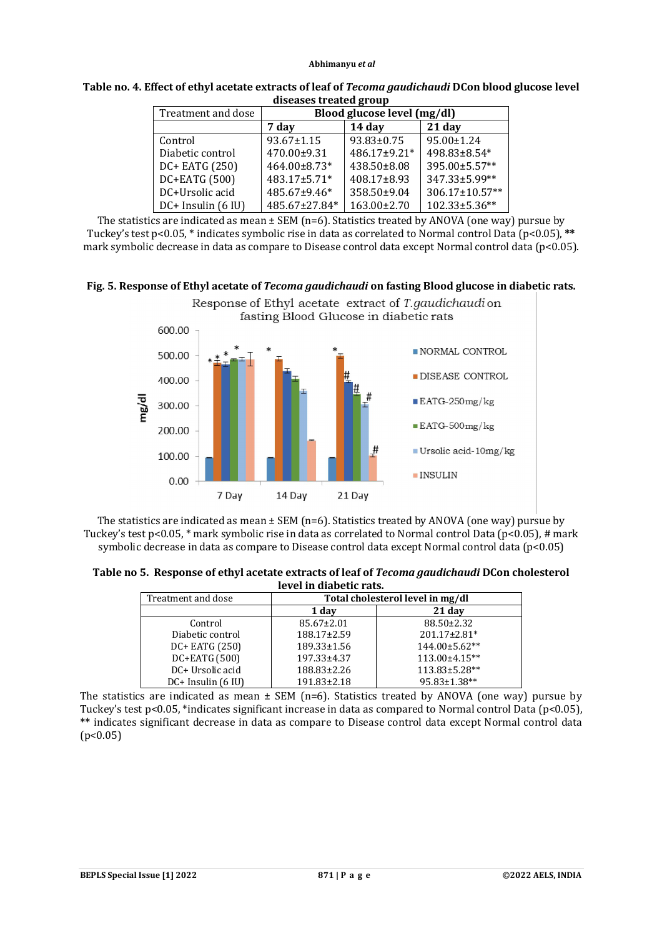| uiscascs u calcu gi uup |                             |              |                |
|-------------------------|-----------------------------|--------------|----------------|
| Treatment and dose      | Blood glucose level (mg/dl) |              |                |
|                         | 7 day                       | 14 day       | $21$ day       |
| Control                 | 93.67±1.15                  | 93.83±0.75   | 95.00±1.24     |
| Diabetic control        | 470.00±9.31                 | 486.17±9.21* | 498.83±8.54*   |
| DC+ EATG (250)          | 464.00±8.73*                | 438.50±8.08  | 395.00±5.57**  |
| DC+EATG (500)           | 483.17±5.71*                | 408.17±8.93  | 347.33±5.99**  |
| DC+Ursolic acid         | 485.67±9.46*                | 358.50±9.04  | 306.17±10.57** |
| DC+ Insulin (6 IU)      | 485.67±27.84*               | 163.00±2.70  | 102.33±5.36**  |

**Table no. 4. Effect of ethyl acetate extracts of leaf of** *Tecoma gaudichaudi* **DCon blood glucose level diseases treated group**

The statistics are indicated as mean  $\pm$  SEM (n=6). Statistics treated by ANOVA (one way) pursue by Tuckey's test p<0.05, \* indicates symbolic rise in data as correlated to Normal control Data (p<0.05), **\*\*** mark symbolic decrease in data as compare to Disease control data except Normal control data (p<0.05).





The statistics are indicated as mean  $\pm$  SEM (n=6). Statistics treated by ANOVA (one way) pursue by Tuckey's test p<0.05,  $*$  mark symbolic rise in data as correlated to Normal control Data (p<0.05), # mark symbolic decrease in data as compare to Disease control data except Normal control data (p<0.05)

**Table no 5. Response of ethyl acetate extracts of leaf of** *Tecoma gaudichaudi* **DCon cholesterol level in diabetic rats.**

| Treatment and dose        | Total cholesterol level in mg/dl |               |  |
|---------------------------|----------------------------------|---------------|--|
|                           | 1 day                            | 21 day        |  |
| Control                   | 85.67±2.01                       | 88.50±2.32    |  |
| Diabetic control          | 188.17±2.59                      | 201.17±2.81*  |  |
| DC+ EATG (250)            | 189.33±1.56                      | 144.00±5.62** |  |
| DC+EATG (500)             | 197.33±4.37                      | 113.00±4.15** |  |
| DC+ Ursolic acid          | 188.83±2.26                      | 113.83±5.28** |  |
| $DC+$ Insulin $(6 \,$ IU) | 191.83±2.18                      | 95.83±1.38**  |  |

The statistics are indicated as mean  $\pm$  SEM (n=6). Statistics treated by ANOVA (one way) pursue by Tuckey's test p<0.05, \*indicates significant increase in data as compared to Normal control Data (p<0.05), **\*\*** indicates significant decrease in data as compare to Disease control data except Normal control data  $(p<0.05)$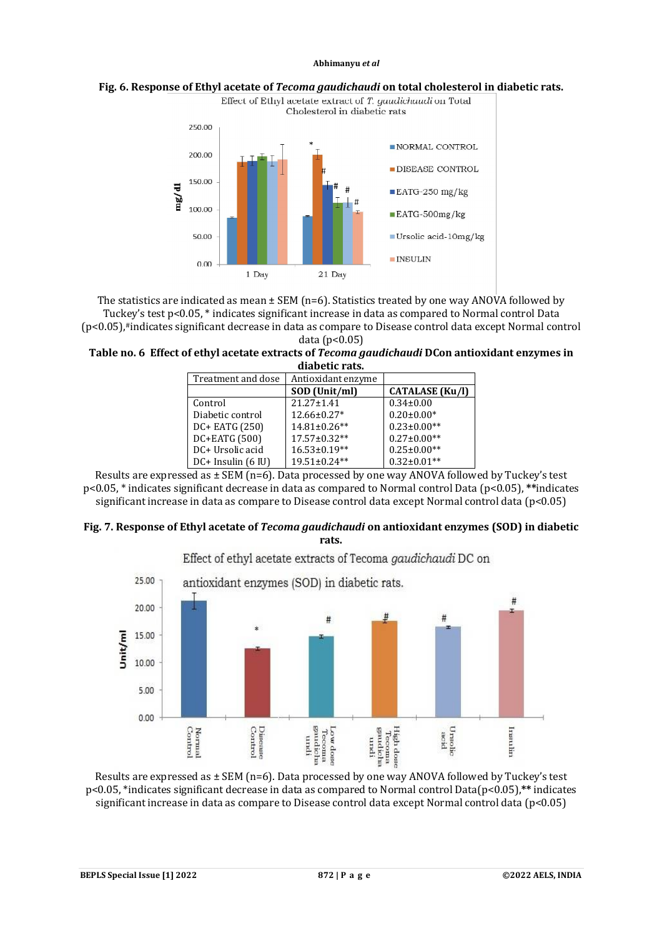



The statistics are indicated as mean ± SEM (n=6). Statistics treated by one way ANOVA followed by Tuckey's test p<0.05, \* indicates significant increase in data as compared to Normal control Data (p<0.05),#indicates significant decrease in data as compare to Disease control data except Normal control data (p<0.05)

**Table no. 6 Effect of ethyl acetate extracts of** *Tecoma gaudichaudi* **DCon antioxidant enzymes in diabetic rats.**

| Treatment and dose     | Antioxidant enzyme |                        |
|------------------------|--------------------|------------------------|
|                        | SOD (Unit/ml)      | <b>CATALASE</b> (Ku/l) |
| Control                | $21.27 + 1.41$     | $0.34 \pm 0.00$        |
| Diabetic control       | 12.66±0.27*        | $0.20 \pm 0.00*$       |
| DC+ EATG (250)         | 14.81±0.26**       | $0.23 \pm 0.00**$      |
| DC+EATG (500)          | 17.57±0.32**       | $0.27 \pm 0.00**$      |
| DC+ Ursolic acid       | 16.53±0.19**       | $0.25 \pm 0.00**$      |
| $DC+$ Insulin $(6$ IU) | 19.51±0.24**       | $0.32 \pm 0.01**$      |

Results are expressed as  $\pm$  SEM (n=6). Data processed by one way ANOVA followed by Tuckey's test p<0.05, \* indicates significant decrease in data as compared to Normal control Data (p<0.05), **\*\***indicates significant increase in data as compare to Disease control data except Normal control data (p<0.05)

### **Fig. 7. Response of Ethyl acetate of** *Tecoma gaudichaudi* **on antioxidant enzymes (SOD) in diabetic rats.**

Effect of ethyl acetate extracts of Tecoma *gaudichaudi* DC on



Results are expressed as  $\pm$  SEM (n=6). Data processed by one way ANOVA followed by Tuckey's test p<0.05, \*indicates significant decrease in data as compared to Normal control Data(p<0.05),**\*\*** indicates significant increase in data as compare to Disease control data except Normal control data (p<0.05)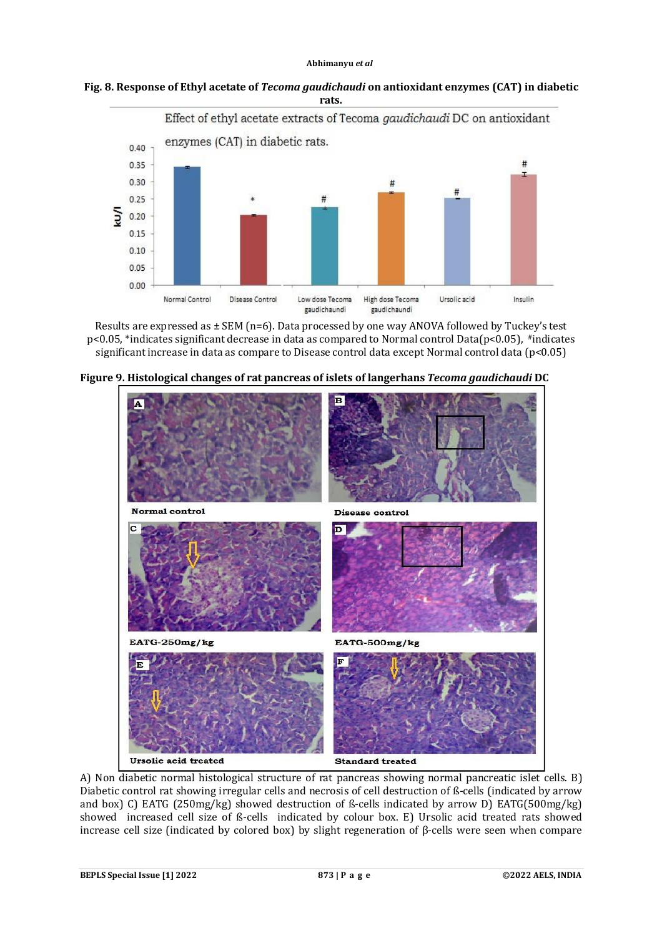**Fig. 8. Response of Ethyl acetate of** *Tecoma gaudichaudi* **on antioxidant enzymes (CAT) in diabetic rats.**



Results are expressed as  $\pm$  SEM (n=6). Data processed by one way ANOVA followed by Tuckey's test p<0.05, \*indicates significant decrease in data as compared to Normal control Data(p<0.05), #indicates significant increase in data as compare to Disease control data except Normal control data (p<0.05)



**Figure 9. Histological changes of rat pancreas of islets of langerhans** *Tecoma gaudichaudi* **DC**

A) Non diabetic normal histological structure of rat pancreas showing normal pancreatic islet cells. B) Diabetic control rat showing irregular cells and necrosis of cell destruction of ß-cells (indicated by arrow and box) C) EATG (250mg/kg) showed destruction of ß-cells indicated by arrow D) EATG(500mg/kg) showed increased cell size of ß-cells indicated by colour box. E) Ursolic acid treated rats showed increase cell size (indicated by colored box) by slight regeneration of β-cells were seen when compare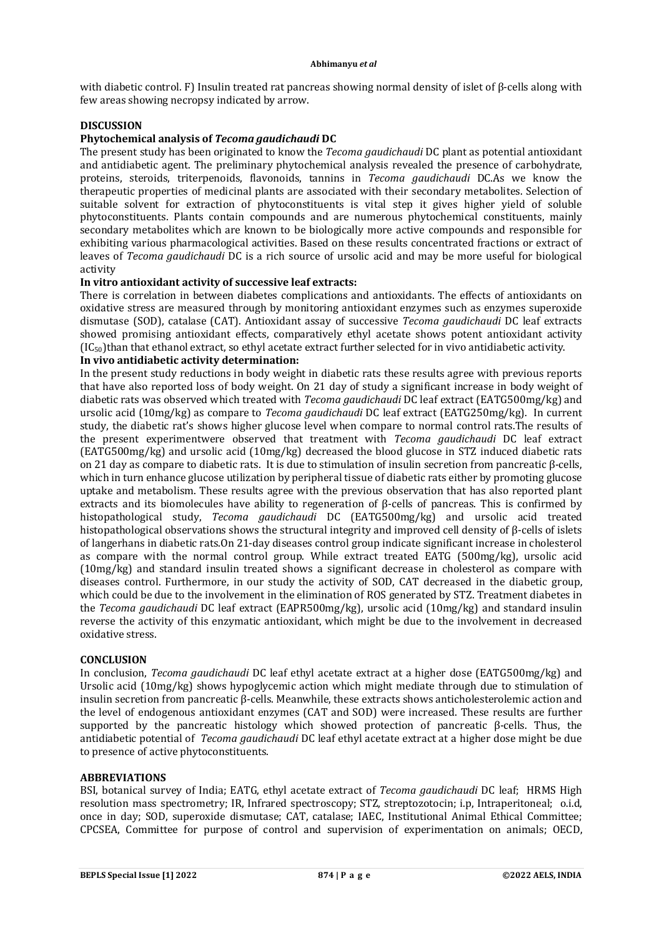with diabetic control. F) Insulin treated rat pancreas showing normal density of islet of β-cells along with few areas showing necropsy indicated by arrow.

### **DISCUSSION**

### **Phytochemical analysis of** *Tecoma gaudichaudi* **DC**

The present study has been originated to know the *Tecoma gaudichaudi* DC plant as potential antioxidant and antidiabetic agent. The preliminary phytochemical analysis revealed the presence of carbohydrate, proteins, steroids, triterpenoids, flavonoids, tannins in *Tecoma gaudichaudi* DC.As we know the therapeutic properties of medicinal plants are associated with their secondary metabolites. Selection of suitable solvent for extraction of phytoconstituents is vital step it gives higher yield of soluble phytoconstituents. Plants contain compounds and are numerous phytochemical constituents, mainly secondary metabolites which are known to be biologically more active compounds and responsible for exhibiting various pharmacological activities. Based on these results concentrated fractions or extract of leaves of *Tecoma gaudichaudi* DC is a rich source of ursolic acid and may be more useful for biological activity

### **In vitro antioxidant activity of successive leaf extracts:**

There is correlation in between diabetes complications and antioxidants. The effects of antioxidants on oxidative stress are measured through by monitoring antioxidant enzymes such as enzymes superoxide dismutase (SOD), catalase (CAT). Antioxidant assay of successive *Tecoma gaudichaudi* DC leaf extracts showed promising antioxidant effects, comparatively ethyl acetate shows potent antioxidant activity (IC50)than that ethanol extract, so ethyl acetate extract further selected for in vivo antidiabetic activity.

# **In vivo antidiabetic activity determination:**

In the present study reductions in body weight in diabetic rats these results agree with previous reports that have also reported loss of body weight. On 21 day of study a significant increase in body weight of diabetic rats was observed which treated with *Tecoma gaudichaudi* DC leaf extract (EATG500mg/kg) and ursolic acid (10mg/kg) as compare to *Tecoma gaudichaudi* DC leaf extract (EATG250mg/kg). In current study, the diabetic rat's shows higher glucose level when compare to normal control rats.The results of the present experimentwere observed that treatment with *Tecoma gaudichaudi* DC leaf extract (EATG500mg/kg) and ursolic acid (10mg/kg) decreased the blood glucose in STZ induced diabetic rats on 21 day as compare to diabetic rats. It is due to stimulation of insulin secretion from pancreatic β-cells, which in turn enhance glucose utilization by peripheral tissue of diabetic rats either by promoting glucose uptake and metabolism. These results agree with the previous observation that has also reported plant extracts and its biomolecules have ability to regeneration of β-cells of pancreas. This is confirmed by histopathological study, *Tecoma gaudichaudi* DC (EATG500mg/kg) and ursolic acid treated histopathological observations shows the structural integrity and improved cell density of β-cells of islets of langerhans in diabetic rats.On 21-day diseases control group indicate significant increase in cholesterol as compare with the normal control group. While extract treated EATG (500mg/kg), ursolic acid (10mg/kg) and standard insulin treated shows a significant decrease in cholesterol as compare with diseases control. Furthermore, in our study the activity of SOD, CAT decreased in the diabetic group, which could be due to the involvement in the elimination of ROS generated by STZ. Treatment diabetes in the *Tecoma gaudichaudi* DC leaf extract (EAPR500mg/kg), ursolic acid (10mg/kg) and standard insulin reverse the activity of this enzymatic antioxidant, which might be due to the involvement in decreased oxidative stress.

#### **CONCLUSION**

In conclusion, *Tecoma gaudichaudi* DC leaf ethyl acetate extract at a higher dose (EATG500mg/kg) and Ursolic acid (10mg/kg) shows hypoglycemic action which might mediate through due to stimulation of insulin secretion from pancreatic β-cells. Meanwhile, these extracts shows anticholesterolemic action and the level of endogenous antioxidant enzymes (CAT and SOD) were increased. These results are further supported by the pancreatic histology which showed protection of pancreatic β-cells. Thus, the antidiabetic potential of *Tecoma gaudichaudi* DC leaf ethyl acetate extract at a higher dose might be due to presence of active phytoconstituents.

#### **ABBREVIATIONS**

BSI, botanical survey of India; EATG, ethyl acetate extract of *Tecoma gaudichaudi* DC leaf; HRMS High resolution mass spectrometry; IR, Infrared spectroscopy; STZ, streptozotocin; i.p, Intraperitoneal; o.i.d, once in day; SOD, superoxide dismutase; CAT, catalase; IAEC, Institutional Animal Ethical Committee; CPCSEA, Committee for purpose of control and supervision of experimentation on animals; OECD,